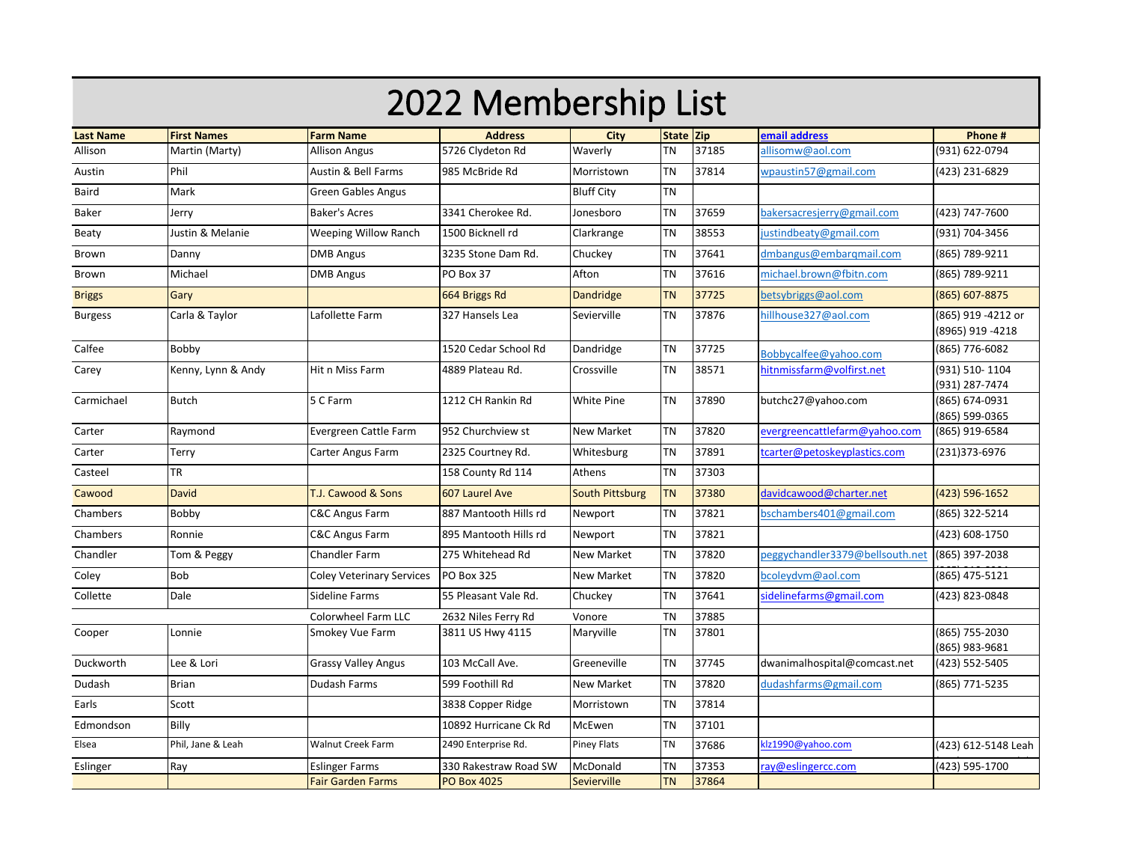| 2022 Membership List |                    |                                                   |                                             |                         |                        |                |                                 |                                         |  |
|----------------------|--------------------|---------------------------------------------------|---------------------------------------------|-------------------------|------------------------|----------------|---------------------------------|-----------------------------------------|--|
| <b>Last Name</b>     | <b>First Names</b> | <b>Farm Name</b>                                  | <b>Address</b>                              | City                    | State Zip              |                | email address                   | Phone #                                 |  |
| Allison              | Martin (Marty)     | <b>Allison Angus</b>                              | 5726 Clydeton Rd                            | Waverly                 | TΝ                     | 37185          | allisomw@aol.com                | (931) 622-0794                          |  |
| Austin               | Phil               | Austin & Bell Farms                               | 985 McBride Rd                              | Morristown              | TN                     | 37814          | wpaustin57@gmail.com            | (423) 231-6829                          |  |
| Baird                | Mark               | <b>Green Gables Angus</b>                         |                                             | <b>Bluff City</b>       | <b>TN</b>              |                |                                 |                                         |  |
| <b>Baker</b>         | Jerry              | <b>Baker's Acres</b>                              | 3341 Cherokee Rd.                           | Jonesboro               | <b>TN</b>              | 37659          | bakersacresjerry@gmail.com      | (423) 747-7600                          |  |
| Beaty                | Justin & Melanie   | <b>Weeping Willow Ranch</b>                       | 1500 Bicknell rd                            | Clarkrange              | ΤN                     | 38553          | justindbeaty@gmail.com          | (931) 704-3456                          |  |
| Brown                | Danny              | <b>DMB Angus</b>                                  | 3235 Stone Dam Rd.                          | Chuckey                 | <b>TN</b>              | 37641          | dmbangus@embargmail.com         | (865) 789-9211                          |  |
| Brown                | Michael            | <b>DMB Angus</b>                                  | PO Box 37                                   | Afton                   | <b>TN</b>              | 37616          | michael.brown@fbitn.com         | (865) 789-9211                          |  |
| <b>Briggs</b>        | Gary               |                                                   | 664 Briggs Rd                               | <b>Dandridge</b>        | <b>TN</b>              | 37725          | betsybriggs@aol.com             | (865) 607-8875                          |  |
| <b>Burgess</b>       | Carla & Taylor     | Lafollette Farm                                   | 327 Hansels Lea                             | Sevierville             | ΤN                     | 37876          | hillhouse327@aol.com            | (865) 919 -4212 or<br>(8965) 919 - 4218 |  |
| Calfee               | Bobby              |                                                   | 1520 Cedar School Rd                        | Dandridge               | <b>TN</b>              | 37725          | Bobbycalfee@yahoo.com           | (865) 776-6082                          |  |
| Carey                | Kenny, Lynn & Andy | Hit n Miss Farm                                   | 4889 Plateau Rd.                            | Crossville              | <b>TN</b>              | 38571          | hitnmissfarm@volfirst.net       | (931) 510-1104<br>(931) 287-7474        |  |
| Carmichael           | <b>Butch</b>       | 5 C Farm                                          | 1212 CH Rankin Rd                           | White Pine              | TN                     | 37890          | butchc27@yahoo.com              | (865) 674-0931<br>(865) 599-0365        |  |
| Carter               | Raymond            | Evergreen Cattle Farm                             | 952 Churchview st                           | <b>New Market</b>       | <b>TN</b>              | 37820          | evergreencattlefarm@yahoo.com   | (865) 919-6584                          |  |
| Carter               | Terry              | Carter Angus Farm                                 | 2325 Courtney Rd.                           | Whitesburg              | ΤN                     | 37891          | tcarter@petoskeyplastics.com    | (231)373-6976                           |  |
| Casteel              | TR                 |                                                   | 158 County Rd 114                           | Athens                  | <b>TN</b>              | 37303          |                                 |                                         |  |
| Cawood               | <b>David</b>       | T.J. Cawood & Sons                                | 607 Laurel Ave                              | <b>South Pittsburg</b>  | <b>TN</b>              | 37380          | davidcawood@charter.net         | (423) 596-1652                          |  |
| Chambers             | Bobby              | <b>C&amp;C Angus Farm</b>                         | 887 Mantooth Hills rd                       | Newport                 | <b>TN</b>              | 37821          | bschambers401@gmail.com         | (865) 322-5214                          |  |
| Chambers             | Ronnie             | C&C Angus Farm                                    | 895 Mantooth Hills rd                       | Newport                 | <b>TN</b>              | 37821          |                                 | (423) 608-1750                          |  |
| Chandler             | Tom & Peggy        | <b>Chandler Farm</b>                              | 275 Whitehead Rd                            | <b>New Market</b>       | TΝ                     | 37820          | peggychandler3379@bellsouth.net | (865) 397-2038                          |  |
| Coley                | Bob                | <b>Coley Veterinary Services</b>                  | PO Box 325                                  | <b>New Market</b>       | TN                     | 37820          | bcoleydvm@aol.com               | (865) 475-5121                          |  |
| Collette             | Dale               | Sideline Farms                                    | 55 Pleasant Vale Rd.                        | Chuckey                 | <b>TN</b>              | 37641          | sidelinefarms@gmail.com         | (423) 823-0848                          |  |
|                      |                    | Colorwheel Farm LLC                               | 2632 Niles Ferry Rd                         | Vonore                  | <b>TN</b>              | 37885          |                                 |                                         |  |
| Cooper               | Lonnie             | Smokey Vue Farm                                   | 3811 US Hwy 4115                            | Maryville               | <b>TN</b>              | 37801          |                                 | (865) 755-2030<br>(865) 983-9681        |  |
| Duckworth            | Lee & Lori         | <b>Grassy Valley Angus</b>                        | 103 McCall Ave.                             | Greeneville             | <b>TN</b>              | 37745          | dwanimalhospital@comcast.net    | (423) 552-5405                          |  |
| Dudash               | <b>Brian</b>       | Dudash Farms                                      | 599 Foothill Rd                             | <b>New Market</b>       | <b>TN</b>              | 37820          | dudashfarms@gmail.com           | (865) 771-5235                          |  |
| Earls                | Scott              |                                                   | 3838 Copper Ridge                           | Morristown              | <b>TN</b>              | 37814          |                                 |                                         |  |
| Edmondson            | Billy              |                                                   | 10892 Hurricane Ck Rd                       | McEwen                  | <b>TN</b>              | 37101          |                                 |                                         |  |
| Elsea                | Phil, Jane & Leah  | Walnut Creek Farm                                 | 2490 Enterprise Rd.                         | <b>Piney Flats</b>      | ΤN                     | 37686          | klz1990@yahoo.com               | (423) 612-5148 Leah                     |  |
| Eslinger             | Ray                | <b>Eslinger Farms</b><br><b>Fair Garden Farms</b> | 330 Rakestraw Road SW<br><b>PO Box 4025</b> | McDonald<br>Sevierville | <b>TN</b><br><b>TN</b> | 37353<br>37864 | ray@eslingercc.com              | (423) 595-1700                          |  |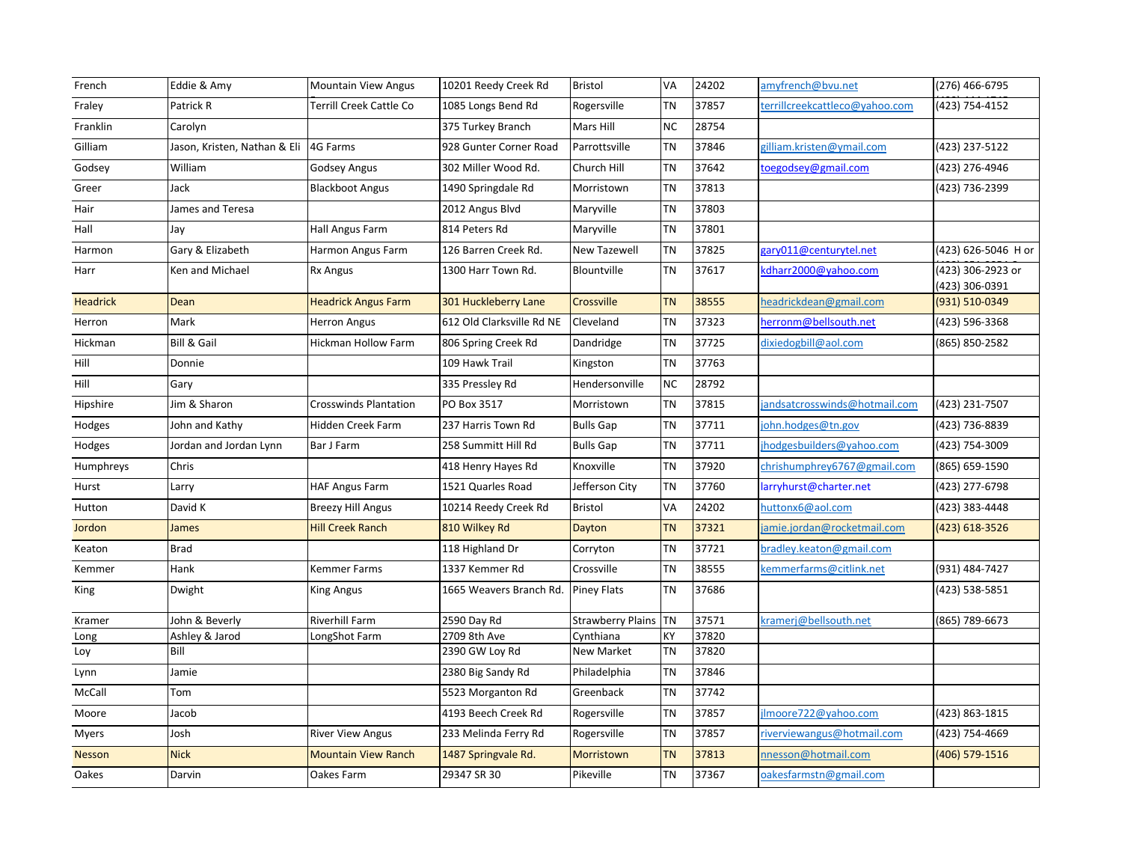| French          | Eddie & Amy                  | <b>Mountain View Angus</b>   | 10201 Reedy Creek Rd      | <b>Bristol</b>           | VA        | 24202 | amyfrench@bvu.net              | (276) 466-6795                      |
|-----------------|------------------------------|------------------------------|---------------------------|--------------------------|-----------|-------|--------------------------------|-------------------------------------|
| Fraley          | Patrick R                    | Terrill Creek Cattle Co      | 1085 Longs Bend Rd        | Rogersville              | TN        | 37857 | :errillcreekcattleco@yahoo.com | $\sqrt{(423)}$ 754-4152             |
| Franklin        | Carolyn                      |                              | 375 Turkey Branch         | Mars Hill                | <b>NC</b> | 28754 |                                |                                     |
| Gilliam         | Jason, Kristen, Nathan & Eli | 4G Farms                     | 928 Gunter Corner Road    | Parrottsville            | <b>TN</b> | 37846 | zilliam.kristen@ymail.com      | (423) 237-5122                      |
| Godsey          | William                      | Godsey Angus                 | 302 Miller Wood Rd.       | Church Hill              | <b>TN</b> | 37642 | toegodsey@gmail.com            | (423) 276-4946                      |
| Greer           | Jack                         | <b>Blackboot Angus</b>       | 1490 Springdale Rd        | Morristown               | TN        | 37813 |                                | (423) 736-2399                      |
| Hair            | James and Teresa             |                              | 2012 Angus Blvd           | Maryville                | TN        | 37803 |                                |                                     |
| Hall            | Jay                          | Hall Angus Farm              | 814 Peters Rd             | Maryville                | <b>TN</b> | 37801 |                                |                                     |
| Harmon          | Gary & Elizabeth             | Harmon Angus Farm            | 126 Barren Creek Rd.      | <b>New Tazewell</b>      | TN        | 37825 | gary011@centurytel.net         | (423) 626-5046 H or                 |
| Harr            | Ken and Michael              | <b>Rx Angus</b>              | 1300 Harr Town Rd.        | Blountville              | <b>TN</b> | 37617 | kdharr2000@yahoo.com           | (423) 306-2923 or<br>(423) 306-0391 |
| <b>Headrick</b> | Dean                         | <b>Headrick Angus Farm</b>   | 301 Huckleberry Lane      | Crossville               | <b>TN</b> | 38555 | headrickdean@gmail.com         | (931) 510-0349                      |
| Herron          | Mark                         | <b>Herron Angus</b>          | 612 Old Clarksville Rd NE | Cleveland                | TN        | 37323 | herronm@bellsouth.net          | (423) 596-3368                      |
| Hickman         | Bill & Gail                  | Hickman Hollow Farm          | 806 Spring Creek Rd       | Dandridge                | TN        | 37725 | dixiedogbill@aol.com           | (865) 850-2582                      |
| Hill            | Donnie                       |                              | 109 Hawk Trail            | Kingston                 | TN        | 37763 |                                |                                     |
| Hill            | Gary                         |                              | 335 Pressley Rd           | Hendersonville           | <b>NC</b> | 28792 |                                |                                     |
| Hipshire        | Jim & Sharon                 | <b>Crosswinds Plantation</b> | PO Box 3517               | Morristown               | <b>TN</b> | 37815 | jandsatcrosswinds@hotmail.com  | (423) 231-7507                      |
| Hodges          | John and Kathy               | Hidden Creek Farm            | 237 Harris Town Rd        | <b>Bulls Gap</b>         | <b>TN</b> | 37711 | john.hodges@tn.gov             | (423) 736-8839                      |
| Hodges          | Jordan and Jordan Lynn       | Bar J Farm                   | 258 Summitt Hill Rd       | <b>Bulls Gap</b>         | <b>TN</b> | 37711 | jhodgesbuilders@yahoo.com      | (423) 754-3009                      |
| Humphreys       | Chris                        |                              | 418 Henry Hayes Rd        | Knoxville                | <b>TN</b> | 37920 | chrishumphrey6767@gmail.com    | (865) 659-1590                      |
| Hurst           | Larry                        | <b>HAF Angus Farm</b>        | 1521 Quarles Road         | Jefferson City           | TN        | 37760 | larryhurst@charter.net         | (423) 277-6798                      |
| Hutton          | David K                      | <b>Breezy Hill Angus</b>     | 10214 Reedy Creek Rd      | <b>Bristol</b>           | VA        | 24202 | huttonx6@aol.com               | (423) 383-4448                      |
| Jordon          | James                        | <b>Hill Creek Ranch</b>      | 810 Wilkey Rd             | Dayton                   | <b>TN</b> | 37321 | jamie.jordan@rocketmail.com    | (423) 618-3526                      |
| Keaton          | <b>Brad</b>                  |                              | 118 Highland Dr           | Corryton                 | TN        | 37721 | bradley.keaton@gmail.com       |                                     |
| Kemmer          | Hank                         | Kemmer Farms                 | 1337 Kemmer Rd            | Crossville               | <b>TN</b> | 38555 | kemmerfarms@citlink.net        | (931) 484-7427                      |
| King            | Dwight                       | King Angus                   | 1665 Weavers Branch Rd.   | <b>Piney Flats</b>       | <b>TN</b> | 37686 |                                | (423) 538-5851                      |
| Kramer          | John & Beverly               | Riverhill Farm               | 2590 Day Rd               | <b>Strawberry Plains</b> | <b>TN</b> | 37571 | cramerj@bellsouth.net          | (865) 789-6673                      |
| Long            | Ashley & Jarod               | LongShot Farm                | 2709 8th Ave              | Cynthiana                | KY        | 37820 |                                |                                     |
| Loy             | Bill                         |                              | 2390 GW Loy Rd            | New Market               | TN        | 37820 |                                |                                     |
| Lynn            | Jamie                        |                              | 2380 Big Sandy Rd         | Philadelphia             | TN        | 37846 |                                |                                     |
| McCall          | Tom                          |                              | 5523 Morganton Rd         | Greenback                | <b>TN</b> | 37742 |                                |                                     |
| Moore           | Jacob                        |                              | 4193 Beech Creek Rd       | Rogersville              | <b>TN</b> | 37857 | Imoore722@yahoo.com            | (423) 863-1815                      |
| Myers           | Josh                         | <b>River View Angus</b>      | 233 Melinda Ferry Rd      | Rogersville              | <b>TN</b> | 37857 | riverviewangus@hotmail.com     | (423) 754-4669                      |
| <b>Nesson</b>   | <b>Nick</b>                  | <b>Mountain View Ranch</b>   | 1487 Springvale Rd.       | Morristown               | <b>TN</b> | 37813 | nnesson@hotmail.com            | (406) 579-1516                      |
| Oakes           | Darvin                       | Oakes Farm                   | 29347 SR 30               | Pikeville                | ΤN        | 37367 | oakesfarmstn@gmail.com         |                                     |